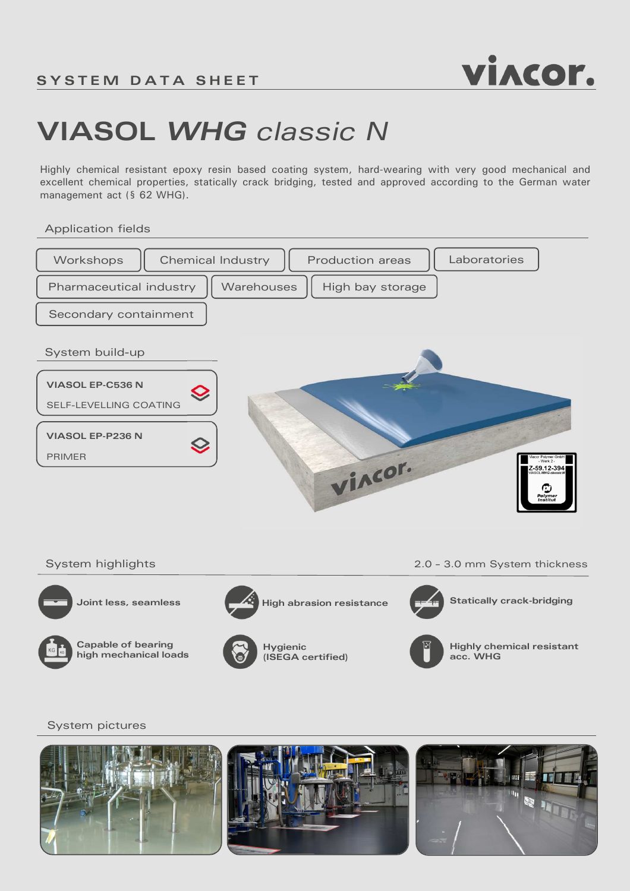

# **VIASOL** *WHG classic N*

Highly chemical resistant epoxy resin based coating system, hard-wearing with very good mechanical and excellent chemical properties, statically crack bridging, tested and approved according to the German water management act (§ 62 WHG).

Application fields







**Capable of bearing high mechanical loads**



**Hygienic (ISEGA certified)**



**Highly chemical resistant acc. WHG**

### System pictures